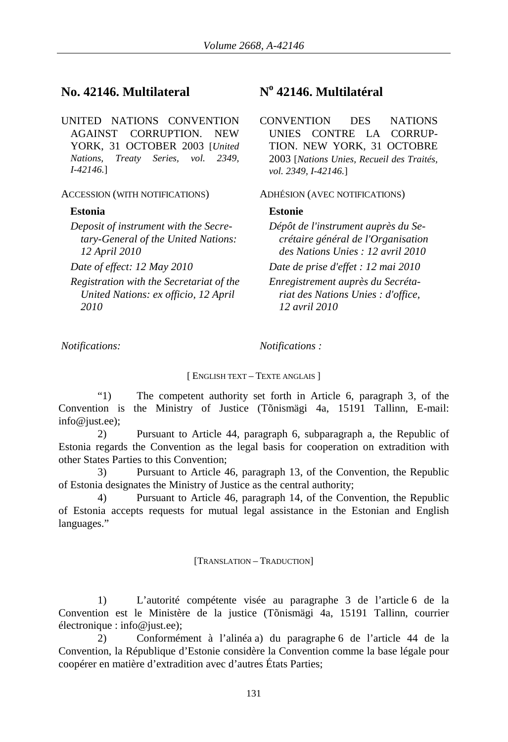# **No. 42146. Multilateral No 42146. Multilatéral**

UNITED NATIONS CONVENTION AGAINST CORRUPTION. NEW YORK, 31 OCTOBER 2003 [*United Nations, Treaty Series, vol. 2349, I-42146.*]

## ACCESSION (WITH NOTIFICATIONS) ADHÉSION (AVEC NOTIFICATIONS)

## **Estonia Estonie**

*Deposit of instrument with the Secretary-General of the United Nations: 12 April 2010*

*Registration with the Secretariat of the United Nations: ex officio, 12 April 2010*

*Notifications: Notifications :* 

### [ ENGLISH TEXT – TEXTE ANGLAIS ]

"1) The competent authority set forth in Article 6, paragraph 3, of the Convention is the Ministry of Justice (Tõnismägi 4a, 15191 Tallinn, E-mail: info@just.ee);

2) Pursuant to Article 44, paragraph 6, subparagraph a, the Republic of Estonia regards the Convention as the legal basis for cooperation on extradition with other States Parties to this Convention;

3) Pursuant to Article 46, paragraph 13, of the Convention, the Republic of Estonia designates the Ministry of Justice as the central authority;

4) Pursuant to Article 46, paragraph 14, of the Convention, the Republic of Estonia accepts requests for mutual legal assistance in the Estonian and English languages."

### [TRANSLATION – TRADUCTION]

1) L'autorité compétente visée au paragraphe 3 de l'article 6 de la Convention est le Ministère de la justice (Tõnismägi 4a, 15191 Tallinn, courrier électronique : info@just.ee);

2) Conformément à l'alinéa a) du paragraphe 6 de l'article 44 de la Convention, la République d'Estonie considère la Convention comme la base légale pour coopérer en matière d'extradition avec d'autres États Parties;

CONVENTION DES NATIONS UNIES CONTRE LA CORRUP-TION. NEW YORK, 31 OCTOBRE 2003 [*Nations Unies, Recueil des Traités, vol. 2349, I-42146.*]

*Dépôt de l'instrument auprès du Secrétaire général de l'Organisation des Nations Unies : 12 avril 2010 Date of effect: 12 May 2010 Date de prise d'effet : 12 mai 2010 Enregistrement auprès du Secrétariat des Nations Unies : d'office, 12 avril 2010*